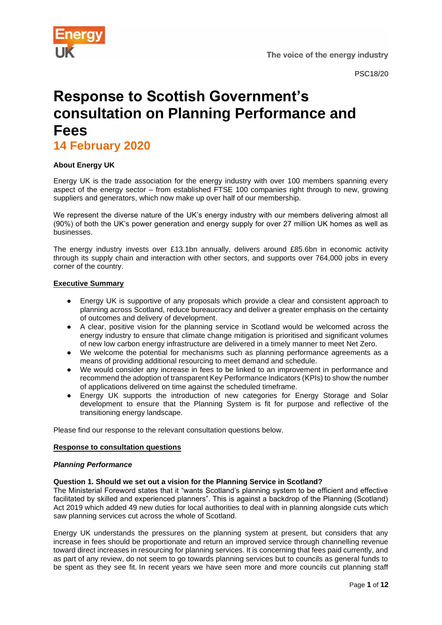

# **Response to Scottish Government's consultation on Planning Performance and Fees**

**14 February 2020** 

# **About Energy UK**

Energy UK is the trade association for the energy industry with over 100 members spanning every aspect of the energy sector – from established FTSE 100 companies right through to new, growing suppliers and generators, which now make up over half of our membership.

We represent the diverse nature of the UK's energy industry with our members delivering almost all (90%) of both the UK's power generation and energy supply for over 27 million UK homes as well as businesses.

The energy industry invests over £13.1bn annually, delivers around £85.6bn in economic activity through its supply chain and interaction with other sectors, and supports over 764,000 jobs in every corner of the country.

#### **Executive Summary**

- Energy UK is supportive of any proposals which provide a clear and consistent approach to planning across Scotland, reduce bureaucracy and deliver a greater emphasis on the certainty of outcomes and delivery of development.
- A clear, positive vision for the planning service in Scotland would be welcomed across the energy industry to ensure that climate change mitigation is prioritised and significant volumes of new low carbon energy infrastructure are delivered in a timely manner to meet Net Zero.
- We welcome the potential for mechanisms such as planning performance agreements as a means of providing additional resourcing to meet demand and schedule.
- We would consider any increase in fees to be linked to an improvement in performance and recommend the adoption of transparent Key Performance Indicators (KPIs) to show the number of applications delivered on time against the scheduled timeframe.
- Energy UK supports the introduction of new categories for Energy Storage and Solar development to ensure that the Planning System is fit for purpose and reflective of the transitioning energy landscape.

Please find our response to the relevant consultation questions below.

#### **Response to consultation questions**

#### *Planning Performance*

#### **Question 1. Should we set out a vision for the Planning Service in Scotland?**

The Ministerial Foreword states that it "wants Scotland's planning system to be efficient and effective facilitated by skilled and experienced planners". This is against a backdrop of the Planning (Scotland) Act 2019 which added 49 new duties for local authorities to deal with in planning alongside cuts which saw planning services cut across the whole of Scotland.

Energy UK understands the pressures on the planning system at present, but considers that any increase in fees should be proportionate and return an improved service through channelling revenue toward direct increases in resourcing for planning services. It is concerning that fees paid currently, and as part of any review, do not seem to go towards planning services but to councils as general funds to be spent as they see fit. In recent years we have seen more and more councils cut planning staff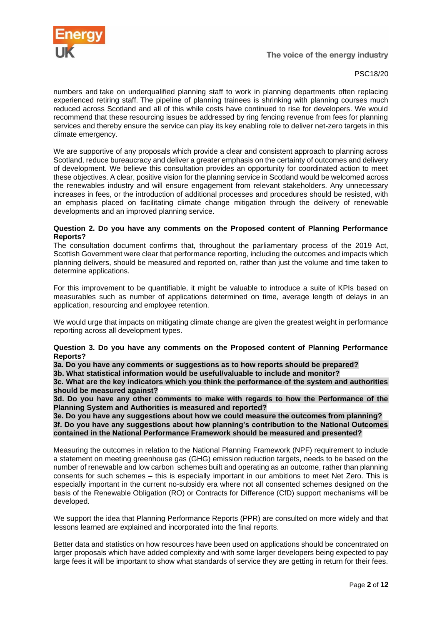

numbers and take on underqualified planning staff to work in planning departments often replacing experienced retiring staff. The pipeline of planning trainees is shrinking with planning courses much reduced across Scotland and all of this while costs have continued to rise for developers. We would recommend that these resourcing issues be addressed by ring fencing revenue from fees for planning services and thereby ensure the service can play its key enabling role to deliver net-zero targets in this climate emergency.

We are supportive of any proposals which provide a clear and consistent approach to planning across Scotland, reduce bureaucracy and deliver a greater emphasis on the certainty of outcomes and delivery of development. We believe this consultation provides an opportunity for coordinated action to meet these objectives. A clear, positive vision for the planning service in Scotland would be welcomed across the renewables industry and will ensure engagement from relevant stakeholders. Any unnecessary increases in fees, or the introduction of additional processes and procedures should be resisted, with an emphasis placed on facilitating climate change mitigation through the delivery of renewable developments and an improved planning service.

#### **Question 2. Do you have any comments on the Proposed content of Planning Performance Reports?**

The consultation document confirms that, throughout the parliamentary process of the 2019 Act, Scottish Government were clear that performance reporting, including the outcomes and impacts which planning delivers, should be measured and reported on, rather than just the volume and time taken to determine applications.

For this improvement to be quantifiable, it might be valuable to introduce a suite of KPIs based on measurables such as number of applications determined on time, average length of delays in an application, resourcing and employee retention.

We would urge that impacts on mitigating climate change are given the greatest weight in performance reporting across all development types.

#### **Question 3. Do you have any comments on the Proposed content of Planning Performance Reports?**

**3a. Do you have any comments or suggestions as to how reports should be prepared?**

**3b. What statistical information would be useful/valuable to include and monitor?**

**3c. What are the key indicators which you think the performance of the system and authorities should be measured against?**

**3d. Do you have any other comments to make with regards to how the Performance of the Planning System and Authorities is measured and reported?**

**3e. Do you have any suggestions about how we could measure the outcomes from planning? 3f. Do you have any suggestions about how planning's contribution to the National Outcomes contained in the National Performance Framework should be measured and presented?**

Measuring the outcomes in relation to the National Planning Framework (NPF) requirement to include a statement on meeting greenhouse gas (GHG) emission reduction targets, needs to be based on the number of renewable and low carbon schemes built and operating as an outcome, rather than planning consents for such schemes – this is especially important in our ambitions to meet Net Zero. This is especially important in the current no-subsidy era where not all consented schemes designed on the basis of the Renewable Obligation (RO) or Contracts for Difference (CfD) support mechanisms will be developed.

We support the idea that Planning Performance Reports (PPR) are consulted on more widely and that lessons learned are explained and incorporated into the final reports.

Better data and statistics on how resources have been used on applications should be concentrated on larger proposals which have added complexity and with some larger developers being expected to pay large fees it will be important to show what standards of service they are getting in return for their fees.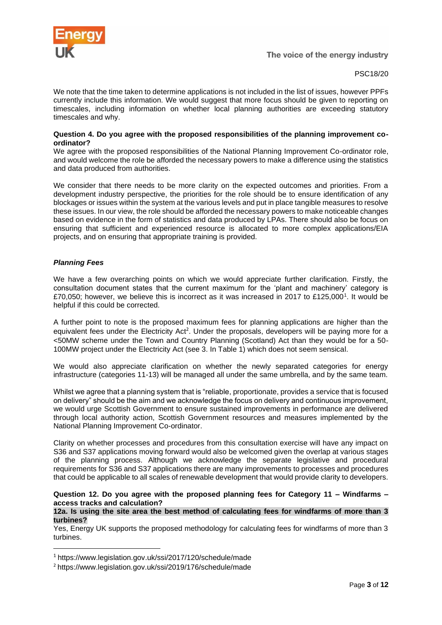

We note that the time taken to determine applications is not included in the list of issues, however PPFs currently include this information. We would suggest that more focus should be given to reporting on timescales, including information on whether local planning authorities are exceeding statutory timescales and why.

#### **Question 4. Do you agree with the proposed responsibilities of the planning improvement coordinator?**

We agree with the proposed responsibilities of the National Planning Improvement Co-ordinator role, and would welcome the role be afforded the necessary powers to make a difference using the statistics and data produced from authorities.

We consider that there needs to be more clarity on the expected outcomes and priorities. From a development industry perspective, the priorities for the role should be to ensure identification of any blockages or issues within the system at the various levels and put in place tangible measures to resolve these issues. In our view, the role should be afforded the necessary powers to make noticeable changes based on evidence in the form of statistics and data produced by LPAs. There should also be focus on ensuring that sufficient and experienced resource is allocated to more complex applications/EIA projects, and on ensuring that appropriate training is provided.

#### *Planning Fees*

We have a few overarching points on which we would appreciate further clarification. Firstly, the consultation document states that the current maximum for the 'plant and machinery' category is £70,050; however, we believe this is incorrect as it was increased in 2017 to £125,000<sup>1</sup>. It would be helpful if this could be corrected.

A further point to note is the proposed maximum fees for planning applications are higher than the equivalent fees under the Electricity Act<sup>2</sup>. Under the proposals, developers will be paying more for a <50MW scheme under the Town and Country Planning (Scotland) Act than they would be for a 50- 100MW project under the Electricity Act (see 3. In Table 1) which does not seem sensical.

We would also appreciate clarification on whether the newly separated categories for energy infrastructure (categories 11-13) will be managed all under the same umbrella, and by the same team.

Whilst we agree that a planning system that is "reliable, proportionate, provides a service that is focused on delivery" should be the aim and we acknowledge the focus on delivery and continuous improvement, we would urge Scottish Government to ensure sustained improvements in performance are delivered through local authority action, Scottish Government resources and measures implemented by the National Planning Improvement Co-ordinator.

Clarity on whether processes and procedures from this consultation exercise will have any impact on S36 and S37 applications moving forward would also be welcomed given the overlap at various stages of the planning process. Although we acknowledge the separate legislative and procedural requirements for S36 and S37 applications there are many improvements to processes and procedures that could be applicable to all scales of renewable development that would provide clarity to developers.

# **Question 12. Do you agree with the proposed planning fees for Category 11 – Windfarms – access tracks and calculation?**

#### **12a. Is using the site area the best method of calculating fees for windfarms of more than 3 turbines?**

Yes, Energy UK supports the proposed methodology for calculating fees for windfarms of more than 3 turbines.

<sup>1</sup> https://www.legislation.gov.uk/ssi/2017/120/schedule/made

<sup>2</sup> https://www.legislation.gov.uk/ssi/2019/176/schedule/made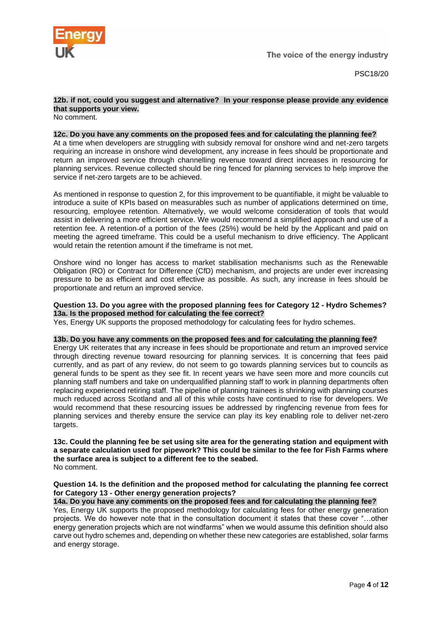

# **12b. if not, could you suggest and alternative? In your response please provide any evidence that supports your view.**

No comment.

#### **12c. Do you have any comments on the proposed fees and for calculating the planning fee?**

At a time when developers are struggling with subsidy removal for onshore wind and net-zero targets requiring an increase in onshore wind development, any increase in fees should be proportionate and return an improved service through channelling revenue toward direct increases in resourcing for planning services. Revenue collected should be ring fenced for planning services to help improve the service if net-zero targets are to be achieved.

As mentioned in response to question 2, for this improvement to be quantifiable, it might be valuable to introduce a suite of KPIs based on measurables such as number of applications determined on time, resourcing, employee retention. Alternatively, we would welcome consideration of tools that would assist in delivering a more efficient service. We would recommend a simplified approach and use of a retention fee. A retention-of a portion of the fees (25%) would be held by the Applicant and paid on meeting the agreed timeframe. This could be a useful mechanism to drive efficiency. The Applicant would retain the retention amount if the timeframe is not met.

Onshore wind no longer has access to market stabilisation mechanisms such as the Renewable Obligation (RO) or Contract for Difference (CfD) mechanism, and projects are under ever increasing pressure to be as efficient and cost effective as possible. As such, any increase in fees should be proportionate and return an improved service.

#### **Question 13. Do you agree with the proposed planning fees for Category 12 - Hydro Schemes? 13a. Is the proposed method for calculating the fee correct?**

Yes, Energy UK supports the proposed methodology for calculating fees for hydro schemes.

#### **13b. Do you have any comments on the proposed fees and for calculating the planning fee?**

Energy UK reiterates that any increase in fees should be proportionate and return an improved service through directing revenue toward resourcing for planning services. It is concerning that fees paid currently, and as part of any review, do not seem to go towards planning services but to councils as general funds to be spent as they see fit. In recent years we have seen more and more councils cut planning staff numbers and take on underqualified planning staff to work in planning departments often replacing experienced retiring staff. The pipeline of planning trainees is shrinking with planning courses much reduced across Scotland and all of this while costs have continued to rise for developers. We would recommend that these resourcing issues be addressed by ringfencing revenue from fees for planning services and thereby ensure the service can play its key enabling role to deliver net-zero targets.

**13c. Could the planning fee be set using site area for the generating station and equipment with a separate calculation used for pipework? This could be similar to the fee for Fish Farms where the surface area is subject to a different fee to the seabed.** No comment.

#### **Question 14. Is the definition and the proposed method for calculating the planning fee correct for Category 13 - Other energy generation projects?**

**14a. Do you have any comments on the proposed fees and for calculating the planning fee?** Yes, Energy UK supports the proposed methodology for calculating fees for other energy generation projects. We do however note that in the consultation document it states that these cover "…other energy generation projects which are not windfarms" when we would assume this definition should also carve out hydro schemes and, depending on whether these new categories are established, solar farms and energy storage.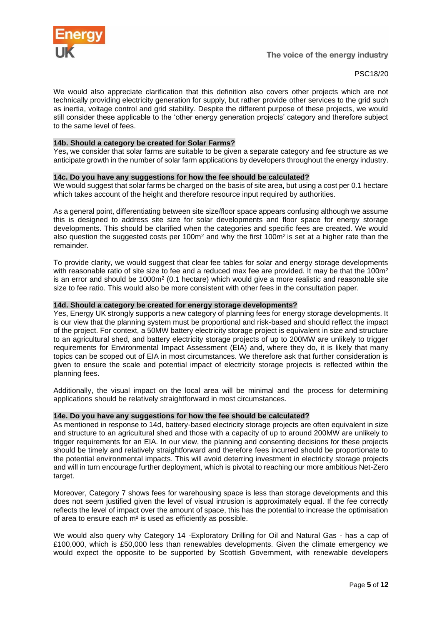

We would also appreciate clarification that this definition also covers other projects which are not technically providing electricity generation for supply, but rather provide other services to the grid such as inertia, voltage control and grid stability. Despite the different purpose of these projects, we would still consider these applicable to the 'other energy generation projects' category and therefore subject to the same level of fees.

#### **14b. Should a category be created for Solar Farms?**

Yes**,** we consider that solar farms are suitable to be given a separate category and fee structure as we anticipate growth in the number of solar farm applications by developers throughout the energy industry.

#### **14c. Do you have any suggestions for how the fee should be calculated?**

We would suggest that solar farms be charged on the basis of site area, but using a cost per 0.1 hectare which takes account of the height and therefore resource input required by authorities.

As a general point, differentiating between site size/floor space appears confusing although we assume this is designed to address site size for solar developments and floor space for energy storage developments. This should be clarified when the categories and specific fees are created. We would also question the suggested costs per 100 $m<sup>2</sup>$  and why the first 100 $m<sup>2</sup>$  is set at a higher rate than the remainder.

To provide clarity, we would suggest that clear fee tables for solar and energy storage developments with reasonable ratio of site size to fee and a reduced max fee are provided. It may be that the 100m<sup>2</sup> is an error and should be  $1000m^2$  (0.1 hectare) which would give a more realistic and reasonable site size to fee ratio. This would also be more consistent with other fees in the consultation paper.

#### **14d. Should a category be created for energy storage developments?**

Yes, Energy UK strongly supports a new category of planning fees for energy storage developments. It is our view that the planning system must be proportional and risk-based and should reflect the impact of the project. For context, a 50MW battery electricity storage project is equivalent in size and structure to an agricultural shed, and battery electricity storage projects of up to 200MW are unlikely to trigger requirements for Environmental Impact Assessment (EIA) and, where they do, it is likely that many topics can be scoped out of EIA in most circumstances. We therefore ask that further consideration is given to ensure the scale and potential impact of electricity storage projects is reflected within the planning fees.

Additionally, the visual impact on the local area will be minimal and the process for determining applications should be relatively straightforward in most circumstances.

#### **14e. Do you have any suggestions for how the fee should be calculated?**

As mentioned in response to 14d, battery-based electricity storage projects are often equivalent in size and structure to an agricultural shed and those with a capacity of up to around 200MW are unlikely to trigger requirements for an EIA. In our view, the planning and consenting decisions for these projects should be timely and relatively straightforward and therefore fees incurred should be proportionate to the potential environmental impacts. This will avoid deterring investment in electricity storage projects and will in turn encourage further deployment, which is pivotal to reaching our more ambitious Net-Zero target.

Moreover, Category 7 shows fees for warehousing space is less than storage developments and this does not seem justified given the level of visual intrusion is approximately equal. If the fee correctly reflects the level of impact over the amount of space, this has the potential to increase the optimisation of area to ensure each m² is used as efficiently as possible.

We would also query why Category 14 -Exploratory Drilling for Oil and Natural Gas - has a cap of £100,000, which is £50,000 less than renewables developments. Given the climate emergency we would expect the opposite to be supported by Scottish Government, with renewable developers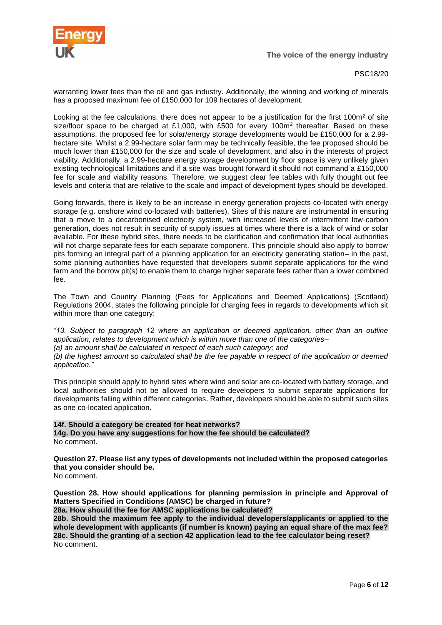

PSC18/20

warranting lower fees than the oil and gas industry. Additionally, the winning and working of minerals has a proposed maximum fee of £150,000 for 109 hectares of development.

Looking at the fee calculations, there does not appear to be a justification for the first 100m<sup>2</sup> of site size/floor space to be charged at £1,000, with £500 for every 100m<sup>2</sup> thereafter. Based on these assumptions, the proposed fee for solar/energy storage developments would be £150,000 for a 2.99 hectare site. Whilst a 2.99-hectare solar farm may be technically feasible, the fee proposed should be much lower than £150,000 for the size and scale of development, and also in the interests of project viability. Additionally, a 2.99-hectare energy storage development by floor space is very unlikely given existing technological limitations and if a site was brought forward it should not command a £150,000 fee for scale and viability reasons. Therefore, we suggest clear fee tables with fully thought out fee levels and criteria that are relative to the scale and impact of development types should be developed.

Going forwards, there is likely to be an increase in energy generation projects co-located with energy storage (e.g. onshore wind co-located with batteries). Sites of this nature are instrumental in ensuring that a move to a decarbonised electricity system, with increased levels of intermittent low-carbon generation, does not result in security of supply issues at times where there is a lack of wind or solar available. For these hybrid sites, there needs to be clarification and confirmation that local authorities will not charge separate fees for each separate component. This principle should also apply to borrow pits forming an integral part of a planning application for an electricity generating station– in the past, some planning authorities have requested that developers submit separate applications for the wind farm and the borrow pit(s) to enable them to charge higher separate fees rather than a lower combined fee.

The Town and Country Planning (Fees for Applications and Deemed Applications) (Scotland) Regulations 2004, states the following principle for charging fees in regards to developments which sit within more than one category:

*"13. Subject to paragraph 12 where an application or deemed application, other than an outline application, relates to development which is within more than one of the categories–*

*(a) an amount shall be calculated in respect of each such category; and*

*(b) the highest amount so calculated shall be the fee payable in respect of the application or deemed application."*

This principle should apply to hybrid sites where wind and solar are co-located with battery storage, and local authorities should not be allowed to require developers to submit separate applications for developments falling within different categories. Rather, developers should be able to submit such sites as one co-located application.

**14f. Should a category be created for heat networks? 14g. Do you have any suggestions for how the fee should be calculated?** No comment.

**Question 27. Please list any types of developments not included within the proposed categories that you consider should be.**

No comment.

**Question 28. How should applications for planning permission in principle and Approval of Matters Specified in Conditions (AMSC) be charged in future?** 

**28a. How should the fee for AMSC applications be calculated?** 

**28b. Should the maximum fee apply to the individual developers/applicants or applied to the whole development with applicants (if number is known) paying an equal share of the max fee? 28c. Should the granting of a section 42 application lead to the fee calculator being reset?** No comment.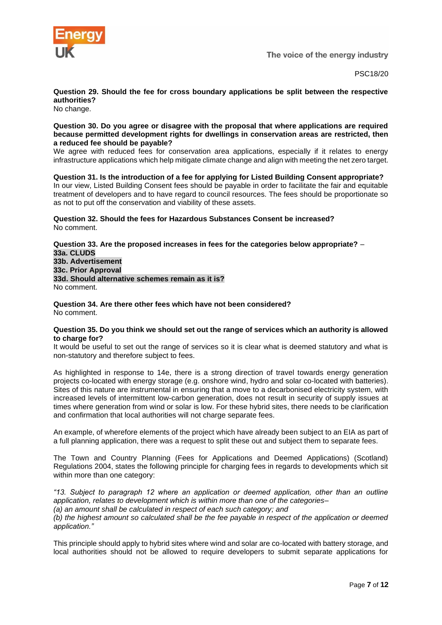

PSC18/20

**Question 29. Should the fee for cross boundary applications be split between the respective authorities?**

No change.

#### **Question 30. Do you agree or disagree with the proposal that where applications are required because permitted development rights for dwellings in conservation areas are restricted, then a reduced fee should be payable?**

We agree with reduced fees for conservation area applications, especially if it relates to energy infrastructure applications which help mitigate climate change and align with meeting the net zero target.

**Question 31. Is the introduction of a fee for applying for Listed Building Consent appropriate?**  In our view, Listed Building Consent fees should be payable in order to facilitate the fair and equitable treatment of developers and to have regard to council resources. The fees should be proportionate so as not to put off the conservation and viability of these assets.

**Question 32. Should the fees for Hazardous Substances Consent be increased?**  No comment.

#### **Question 33. Are the proposed increases in fees for the categories below appropriate?** – **33a. CLUDS 33b. Advertisement 33c. Prior Approval 33d. Should alternative schemes remain as it is?** No comment.

**Question 34. Are there other fees which have not been considered?**  No comment.

#### **Question 35. Do you think we should set out the range of services which an authority is allowed to charge for?**

It would be useful to set out the range of services so it is clear what is deemed statutory and what is non-statutory and therefore subject to fees.

As highlighted in response to 14e, there is a strong direction of travel towards energy generation projects co-located with energy storage (e.g. onshore wind, hydro and solar co-located with batteries). Sites of this nature are instrumental in ensuring that a move to a decarbonised electricity system, with increased levels of intermittent low-carbon generation, does not result in security of supply issues at times where generation from wind or solar is low. For these hybrid sites, there needs to be clarification and confirmation that local authorities will not charge separate fees.

An example, of wherefore elements of the project which have already been subject to an EIA as part of a full planning application, there was a request to split these out and subject them to separate fees.

The Town and Country Planning (Fees for Applications and Deemed Applications) (Scotland) Regulations 2004, states the following principle for charging fees in regards to developments which sit within more than one category:

*"13. Subject to paragraph 12 where an application or deemed application, other than an outline application, relates to development which is within more than one of the categories–*

*(a) an amount shall be calculated in respect of each such category; and (b) the highest amount so calculated shall be the fee payable in respect of the application or deemed application."*

This principle should apply to hybrid sites where wind and solar are co-located with battery storage, and local authorities should not be allowed to require developers to submit separate applications for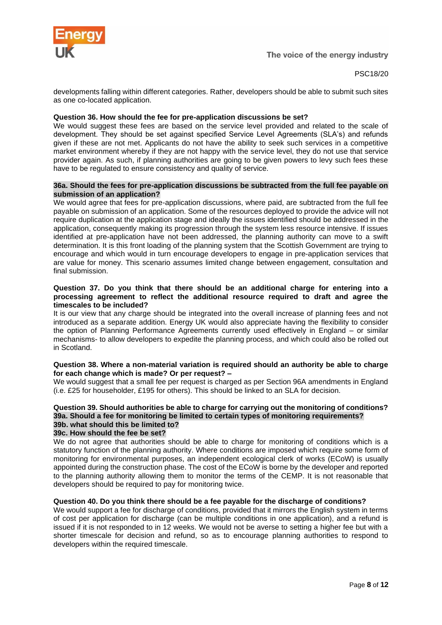

developments falling within different categories. Rather, developers should be able to submit such sites as one co-located application.

#### **Question 36. How should the fee for pre-application discussions be set?**

We would suggest these fees are based on the service level provided and related to the scale of development. They should be set against specified Service Level Agreements (SLA's) and refunds given if these are not met. Applicants do not have the ability to seek such services in a competitive market environment whereby if they are not happy with the service level, they do not use that service provider again. As such, if planning authorities are going to be given powers to levy such fees these have to be regulated to ensure consistency and quality of service.

#### **36a. Should the fees for pre-application discussions be subtracted from the full fee payable on submission of an application?**

We would agree that fees for pre-application discussions, where paid, are subtracted from the full fee payable on submission of an application. Some of the resources deployed to provide the advice will not require duplication at the application stage and ideally the issues identified should be addressed in the application, consequently making its progression through the system less resource intensive. If issues identified at pre-application have not been addressed, the planning authority can move to a swift determination. It is this front loading of the planning system that the Scottish Government are trying to encourage and which would in turn encourage developers to engage in pre-application services that are value for money. This scenario assumes limited change between engagement, consultation and final submission.

#### **Question 37. Do you think that there should be an additional charge for entering into a processing agreement to reflect the additional resource required to draft and agree the timescales to be included?**

It is our view that any charge should be integrated into the overall increase of planning fees and not introduced as a separate addition. Energy UK would also appreciate having the flexibility to consider the option of Planning Performance Agreements currently used effectively in England – or similar mechanisms- to allow developers to expedite the planning process, and which could also be rolled out in Scotland.

#### **Question 38. Where a non-material variation is required should an authority be able to charge for each change which is made? Or per request? –**

We would suggest that a small fee per request is charged as per Section 96A amendments in England (i.e. £25 for householder, £195 for others). This should be linked to an SLA for decision.

# **Question 39. Should authorities be able to charge for carrying out the monitoring of conditions? 39a. Should a fee for monitoring be limited to certain types of monitoring requirements?**

#### **39b. what should this be limited to? 39c. How should the fee be set?**

We do not agree that authorities should be able to charge for monitoring of conditions which is a statutory function of the planning authority. Where conditions are imposed which require some form of monitoring for environmental purposes, an independent ecological clerk of works (ECoW) is usually appointed during the construction phase. The cost of the ECoW is borne by the developer and reported to the planning authority allowing them to monitor the terms of the CEMP. It is not reasonable that developers should be required to pay for monitoring twice.

#### **Question 40. Do you think there should be a fee payable for the discharge of conditions?**

We would support a fee for discharge of conditions, provided that it mirrors the English system in terms of cost per application for discharge (can be multiple conditions in one application), and a refund is issued if it is not responded to in 12 weeks. We would not be averse to setting a higher fee but with a shorter timescale for decision and refund, so as to encourage planning authorities to respond to developers within the required timescale.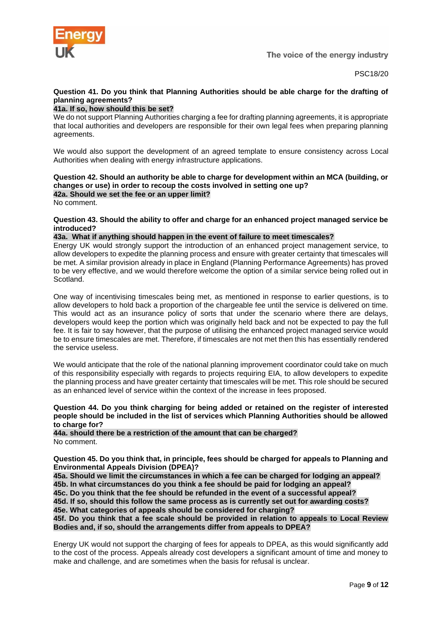

PSC18/20

# **Question 41. Do you think that Planning Authorities should be able charge for the drafting of planning agreements?**

# **41a. If so, how should this be set?**

We do not support Planning Authorities charging a fee for drafting planning agreements, it is appropriate that local authorities and developers are responsible for their own legal fees when preparing planning agreements.

We would also support the development of an agreed template to ensure consistency across Local Authorities when dealing with energy infrastructure applications.

# **Question 42. Should an authority be able to charge for development within an MCA (building, or changes or use) in order to recoup the costs involved in setting one up? 42a. Should we set the fee or an upper limit?**

No comment.

#### **Question 43. Should the ability to offer and charge for an enhanced project managed service be introduced?**

#### **43a. What if anything should happen in the event of failure to meet timescales?**

Energy UK would strongly support the introduction of an enhanced project management service, to allow developers to expedite the planning process and ensure with greater certainty that timescales will be met. A similar provision already in place in England (Planning Performance Agreements) has proved to be very effective, and we would therefore welcome the option of a similar service being rolled out in Scotland.

One way of incentivising timescales being met, as mentioned in response to earlier questions, is to allow developers to hold back a proportion of the chargeable fee until the service is delivered on time. This would act as an insurance policy of sorts that under the scenario where there are delays, developers would keep the portion which was originally held back and not be expected to pay the full fee. It is fair to say however, that the purpose of utilising the enhanced project managed service would be to ensure timescales are met. Therefore, if timescales are not met then this has essentially rendered the service useless.

We would anticipate that the role of the national planning improvement coordinator could take on much of this responsibility especially with regards to projects requiring EIA, to allow developers to expedite the planning process and have greater certainty that timescales will be met. This role should be secured as an enhanced level of service within the context of the increase in fees proposed.

#### **Question 44. Do you think charging for being added or retained on the register of interested people should be included in the list of services which Planning Authorities should be allowed to charge for?**

#### **44a. should there be a restriction of the amount that can be charged?** No comment.

**Question 45. Do you think that, in principle, fees should be charged for appeals to Planning and Environmental Appeals Division (DPEA)?** 

**45a. Should we limit the circumstances in which a fee can be charged for lodging an appeal? 45b. In what circumstances do you think a fee should be paid for lodging an appeal? 45c. Do you think that the fee should be refunded in the event of a successful appeal? 45d. If so, should this follow the same process as is currently set out for awarding costs? 45e. What categories of appeals should be considered for charging?**

**45f. Do you think that a fee scale should be provided in relation to appeals to Local Review Bodies and, if so, should the arrangements differ from appeals to DPEA?**

Energy UK would not support the charging of fees for appeals to DPEA, as this would significantly add to the cost of the process. Appeals already cost developers a significant amount of time and money to make and challenge, and are sometimes when the basis for refusal is unclear.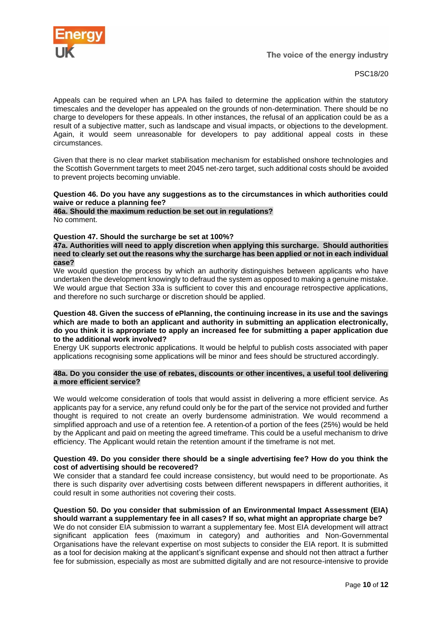

Appeals can be required when an LPA has failed to determine the application within the statutory timescales and the developer has appealed on the grounds of non-determination. There should be no charge to developers for these appeals. In other instances, the refusal of an application could be as a result of a subjective matter, such as landscape and visual impacts, or objections to the development. Again, it would seem unreasonable for developers to pay additional appeal costs in these circumstances.

Given that there is no clear market stabilisation mechanism for established onshore technologies and the Scottish Government targets to meet 2045 net-zero target, such additional costs should be avoided to prevent projects becoming unviable.

#### **Question 46. Do you have any suggestions as to the circumstances in which authorities could waive or reduce a planning fee?**

**46a. Should the maximum reduction be set out in regulations?**  No comment.

#### **Question 47. Should the surcharge be set at 100%?**

**47a. Authorities will need to apply discretion when applying this surcharge. Should authorities need to clearly set out the reasons why the surcharge has been applied or not in each individual case?**

We would question the process by which an authority distinguishes between applicants who have undertaken the development knowingly to defraud the system as opposed to making a genuine mistake. We would argue that Section 33a is sufficient to cover this and encourage retrospective applications, and therefore no such surcharge or discretion should be applied.

#### **Question 48. Given the success of ePlanning, the continuing increase in its use and the savings which are made to both an applicant and authority in submitting an application electronically, do you think it is appropriate to apply an increased fee for submitting a paper application due to the additional work involved?**

Energy UK supports electronic applications. It would be helpful to publish costs associated with paper applications recognising some applications will be minor and fees should be structured accordingly.

#### **48a. Do you consider the use of rebates, discounts or other incentives, a useful tool delivering a more efficient service?**

We would welcome consideration of tools that would assist in delivering a more efficient service. As applicants pay for a service, any refund could only be for the part of the service not provided and further thought is required to not create an overly burdensome administration. We would recommend a simplified approach and use of a retention fee. A retention-of a portion of the fees (25%) would be held by the Applicant and paid on meeting the agreed timeframe. This could be a useful mechanism to drive efficiency. The Applicant would retain the retention amount if the timeframe is not met.

#### **Question 49. Do you consider there should be a single advertising fee? How do you think the cost of advertising should be recovered?**

We consider that a standard fee could increase consistency, but would need to be proportionate. As there is such disparity over advertising costs between different newspapers in different authorities, it could result in some authorities not covering their costs.

# **Question 50. Do you consider that submission of an Environmental Impact Assessment (EIA)**

**should warrant a supplementary fee in all cases? If so, what might an appropriate charge be?** We do not consider EIA submission to warrant a supplementary fee. Most EIA development will attract significant application fees (maximum in category) and authorities and Non-Governmental Organisations have the relevant expertise on most subjects to consider the EIA report. It is submitted as a tool for decision making at the applicant's significant expense and should not then attract a further fee for submission, especially as most are submitted digitally and are not resource-intensive to provide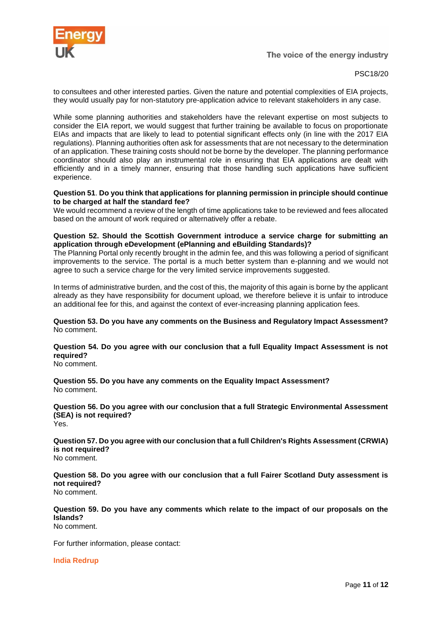

PSC18/20

to consultees and other interested parties. Given the nature and potential complexities of EIA projects, they would usually pay for non-statutory pre-application advice to relevant stakeholders in any case.

While some planning authorities and stakeholders have the relevant expertise on most subjects to consider the EIA report, we would suggest that further training be available to focus on proportionate EIAs and impacts that are likely to lead to potential significant effects only (in line with the 2017 EIA regulations). Planning authorities often ask for assessments that are not necessary to the determination of an application. These training costs should not be borne by the developer. The planning performance coordinator should also play an instrumental role in ensuring that EIA applications are dealt with efficiently and in a timely manner, ensuring that those handling such applications have sufficient experience.

#### **Question 51**. **Do you think that applications for planning permission in principle should continue to be charged at half the standard fee?**

We would recommend a review of the length of time applications take to be reviewed and fees allocated based on the amount of work required or alternatively offer a rebate.

#### **Question 52. Should the Scottish Government introduce a service charge for submitting an application through eDevelopment (ePlanning and eBuilding Standards)?**

The Planning Portal only recently brought in the admin fee, and this was following a period of significant improvements to the service. The portal is a much better system than e-planning and we would not agree to such a service charge for the very limited service improvements suggested.

In terms of administrative burden, and the cost of this, the majority of this again is borne by the applicant already as they have responsibility for document upload, we therefore believe it is unfair to introduce an additional fee for this, and against the context of ever-increasing planning application fees.

**Question 53. Do you have any comments on the Business and Regulatory Impact Assessment?**  No comment.

# **Question 54. Do you agree with our conclusion that a full Equality Impact Assessment is not required?**

No comment.

**Question 55. Do you have any comments on the Equality Impact Assessment?**  No comment.

**Question 56. Do you agree with our conclusion that a full Strategic Environmental Assessment (SEA) is not required?**  Yes.

**Question 57. Do you agree with our conclusion that a full Children's Rights Assessment (CRWIA) is not required?**  No comment.

**Question 58. Do you agree with our conclusion that a full Fairer Scotland Duty assessment is not required?** No comment.

**Question 59. Do you have any comments which relate to the impact of our proposals on the Islands?** No comment.

For further information, please contact:

**India Redrup**